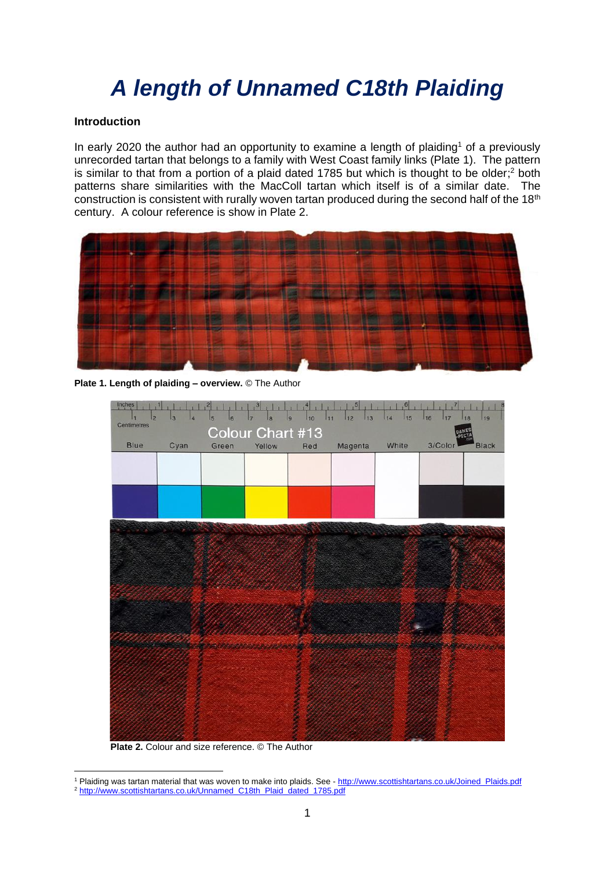# *A length of Unnamed C18th Plaiding*

### **Introduction**

In early 2020 the author had an opportunity to examine a length of plaiding<sup>1</sup> of a previously unrecorded tartan that belongs to a family with West Coast family links (Plate 1). The pattern is similar to that from a portion of a plaid dated 1785 but which is thought to be older;<sup>2</sup> both patterns share similarities with the MacColl tartan which itself is of a similar date. The construction is consistent with rurally woven tartan produced during the second half of the  $18<sup>th</sup>$ century. A colour reference is show in Plate 2.



**Plate 1. Length of plaiding – overview.** © The Author



 **Plate 2.** Colour and size reference. © The Author

<sup>1</sup> Plaiding was tartan material that was woven to make into plaids. See - [http://www.scottishtartans.co.uk/Joined\\_Plaids.pdf](http://www.scottishtartans.co.uk/Joined_Plaids.pdf) <sup>2</sup> [http://www.scottishtartans.co.uk/Unnamed\\_C18th\\_Plaid\\_dated\\_1785.pdf](http://www.scottishtartans.co.uk/Unnamed_C18th_Plaid_dated_1785.pdf)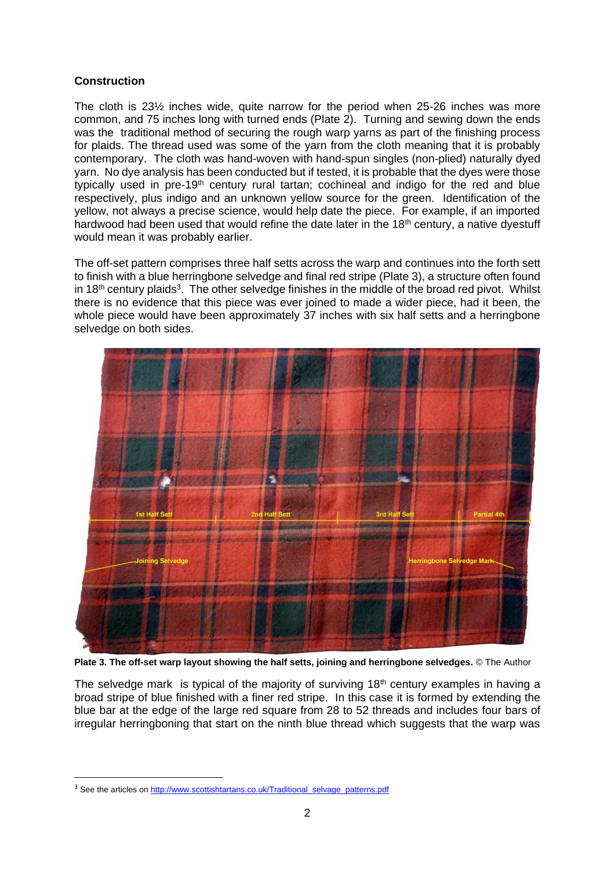## **Construction**

The cloth is 23½ inches wide, quite narrow for the period when 25-26 inches was more common, and 75 inches long with turned ends (Plate 2). Turning and sewing down the ends was the traditional method of securing the rough warp varns as part of the finishing process for plaids. The thread used was some of the yarn from the cloth meaning that it is probably contemporary. The cloth was hand-woven with hand-spun singles (non-plied) naturally dyed yarn. No dye analysis has been conducted but if tested, it is probable that the dyes were those typically used in pre-19<sup>th</sup> century rural tartan; cochineal and indigo for the red and blue respectively, plus indigo and an unknown yellow source for the green. Identification of the yellow, not always a precise science, would help date the piece. For example, if an imported hardwood had been used that would refine the date later in the 18<sup>th</sup> century, a native dyestuff would mean it was probably earlier.

The off-set pattern comprises three half setts across the warp and continues into the forth sett to finish with a blue herringbone selvedge and final red stripe (Plate 3), a structure often found in 18<sup>th</sup> century plaids<sup>3</sup>. The other selvedge finishes in the middle of the broad red pivot. Whilst there is no evidence that this piece was ever joined to made a wider piece, had it been, the whole piece would have been approximately 37 inches with six half setts and a herringbone selvedge on both sides.



**Plate 3. The off-set warp layout showing the half setts, joining and herringbone selvedges.** © The Author

The selvedge mark is typical of the majority of surviving  $18<sup>th</sup>$  century examples in having a broad stripe of blue finished with a finer red stripe. In this case it is formed by extending the blue bar at the edge of the large red square from 28 to 52 threads and includes four bars of irregular herringboning that start on the ninth blue thread which suggests that the warp was

<sup>&</sup>lt;sup>3</sup> See the articles on [http://www.scottishtartans.co.uk/Traditional\\_selvage\\_patterns.pdf](http://www.scottishtartans.co.uk/Traditional_selvage_patterns.pdf)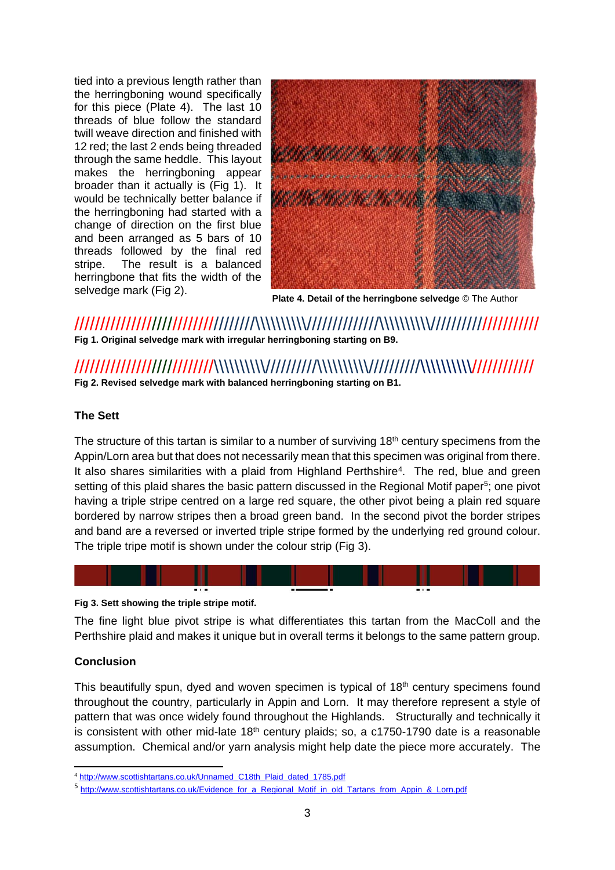tied into a previous length rather than the herringboning wound specifically for this piece (Plate 4). The last 10 threads of blue follow the standard twill weave direction and finished with 12 red; the last 2 ends being threaded through the same heddle. This layout makes the herringboning appear broader than it actually is (Fig 1). It would be technically better balance if the herringboning had started with a change of direction on the first blue and been arranged as 5 bars of 10 threads followed by the final red stripe. The result is a balanced herringbone that fits the width of the selvedge mark (Fig 2).



**Plate 4. Detail of the herringbone selvedge** © The Author

///////////////////////////////////\\\\\\\\\\//////////////\\\\\\\\\\///////////////////// **Fig 1. Original selvedge mark with irregular herringboning starting on B9.**

# ///////////////////////////\\\\\\\\\\//////////\\\\\\\\\\//////////\\\\\\\\\\//////////// **Fig 2. Revised selvedge mark with balanced herringboning starting on B1.**

## **The Sett**

The structure of this tartan is similar to a number of surviving 18<sup>th</sup> century specimens from the Appin/Lorn area but that does not necessarily mean that this specimen was original from there. It also shares similarities with a plaid from Highland Perthshire<sup>4</sup>. The red, blue and green setting of this plaid shares the basic pattern discussed in the Regional Motif paper<sup>5</sup>; one pivot having a triple stripe centred on a large red square, the other pivot being a plain red square bordered by narrow stripes then a broad green band. In the second pivot the border stripes and band are a reversed or inverted triple stripe formed by the underlying red ground colour. The triple tripe motif is shown under the colour strip (Fig 3).



### **Fig 3. Sett showing the triple stripe motif.**

The fine light blue pivot stripe is what differentiates this tartan from the MacColl and the Perthshire plaid and makes it unique but in overall terms it belongs to the same pattern group.

## **Conclusion**

This beautifully spun, dyed and woven specimen is typical of 18<sup>th</sup> century specimens found throughout the country, particularly in Appin and Lorn. It may therefore represent a style of pattern that was once widely found throughout the Highlands. Structurally and technically it is consistent with other mid-late  $18<sup>th</sup>$  century plaids; so, a c1750-1790 date is a reasonable assumption. Chemical and/or yarn analysis might help date the piece more accurately. The

<sup>4</sup> [http://www.scottishtartans.co.uk/Unnamed\\_C18th\\_Plaid\\_dated\\_1785.pdf](http://www.scottishtartans.co.uk/Unnamed_C18th_Plaid_dated_1785.pdf)

<sup>5</sup> [http://www.scottishtartans.co.uk/Evidence\\_for\\_a\\_Regional\\_Motif\\_in\\_old\\_Tartans\\_from\\_Appin\\_&\\_Lorn.pdf](http://www.scottishtartans.co.uk/Evidence_for_a_Regional_Motif_in_old_Tartans_from_Appin_&_Lorn.pdf)